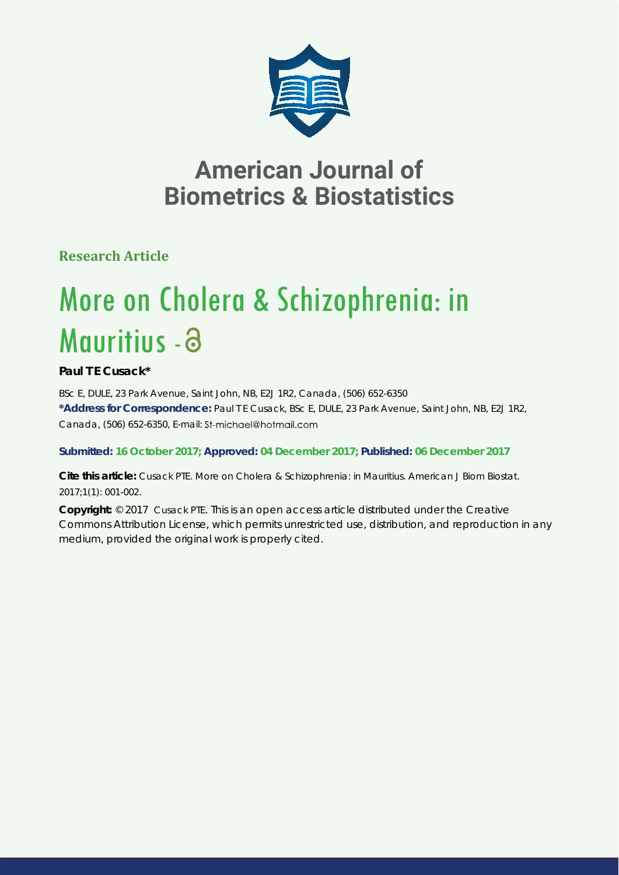

# **American Journal of Biometrics & Biostatistics**

**Research Article**

# More on Cholera & Schizophrenia: in Mauritius - a

## **Paul T E Cusack\***

*BSc E, DULE, 23 Park Avenue, Saint John, NB, E2J 1R2, Canada, (506) 652-6350* **\*Address for Correspondence:** Paul T E Cusack, BSc E, DULE, 23 Park Avenue, Saint John, NB, E2J 1R2, Canada, (506) 652-6350, E-mail: St-michael@hotmail.com

### **Submitted: 16 October 2017; Approved: 04 December 2017; Published: 06 December 2017**

**Cite this article:** Cusack PTE. More on Cholera & Schizophrenia: in Mauritius. American J Biom Biostat. 2017;1(1): 001-002.

**Copyright:** © 2017 Cusack PTE. This is an open access article distributed under the Creative Commons Attribution License, which permits unrestricted use, distribution, and reproduction in any medium, provided the original work is properly cited.